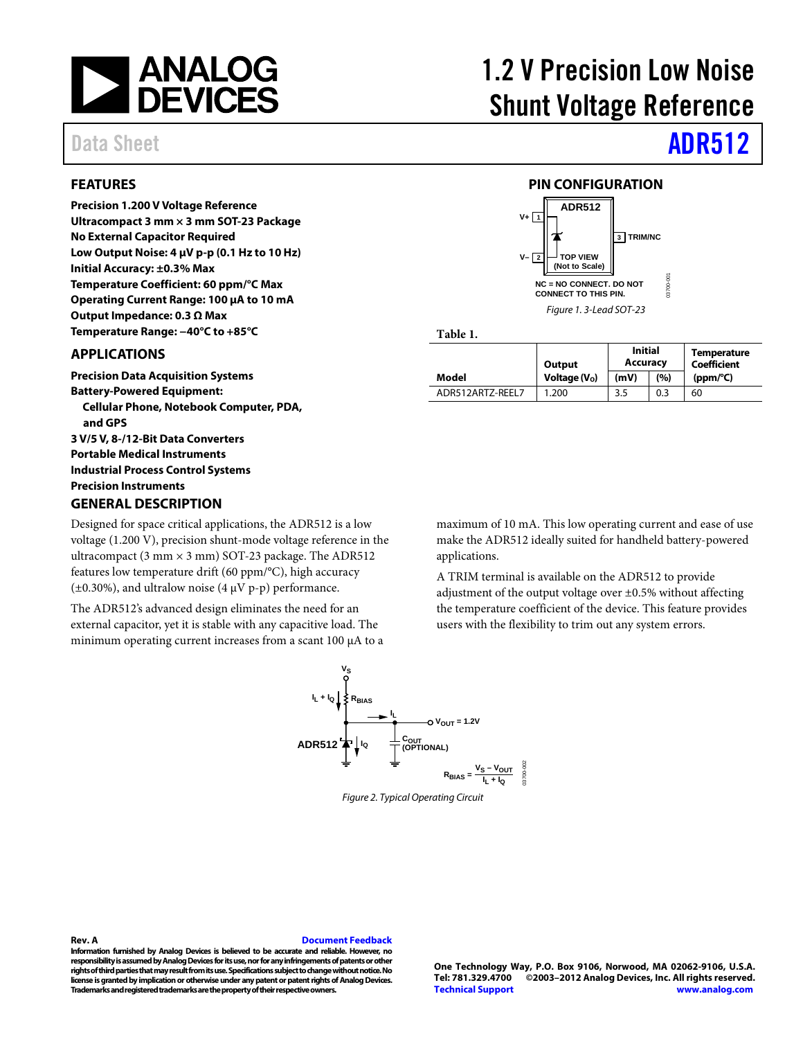

### <span id="page-0-0"></span>**FEATURES**

**Precision 1.200 V Voltage Reference Ultracompact 3 mm × 3 mm SOT-23 Package No External Capacitor Required Low Output Noise: 4 µV p-p (0.1 Hz to 10 Hz) Initial Accuracy: ±0.3% Max Temperature Coefficient: 60 ppm/°C Max Operating Current Range: 100 µA to 10 mA Output Impedance: 0.3 Ω Max Temperature Range: −40°C to +85°C**

### <span id="page-0-1"></span>**APPLICATIONS**

**Precision Data Acquisition Systems Battery-Powered Equipment: Cellular Phone, Notebook Computer, PDA, and GPS 3 V/5 V, 8-/12-Bit Data Converters Portable Medical Instruments Industrial Process Control Systems Precision Instruments GENERAL DESCRIPTION**

<span id="page-0-3"></span>Designed for space critical applications, the ADR512 is a low voltage (1.200 V), precision shunt-mode voltage reference in the ultracompact (3 mm  $\times$  3 mm) SOT-23 package. The ADR512 features low temperature drift (60 ppm/°C), high accuracy ( $\pm$ 0.30%), and ultralow noise (4  $\mu$ V p-p) performance.

The ADR512's advanced design eliminates the need for an external capacitor, yet it is stable with any capacitive load. The minimum operating current increases from a scant 100 µA to a maximum of 10 mA. This low operating current and ease of use make the ADR512 ideally suited for handheld battery-powered applications.

A TRIM terminal is available on the ADR512 to provide adjustment of the output voltage over ±0.5% without affecting the temperature coefficient of the device. This feature provides users with the flexibility to trim out any system errors.



*Figure 2. Typical Operating Circuit*

**IL + IQ**

**Information furnished by Analog Devices is believed to be accurate and reliable. However, no responsibility is assumed by Analog Devices for its use, nor forany infringements of patents or other rights of third parties that may result from its use. Specifications subject to change without notice. No license is granted by implication or otherwise under any patent or patent rights of Analog Devices. Trademarks and registered trademarks are the property of their respective owners.**

<span id="page-0-4"></span>**Rev. A [Document Feedback](https://form.analog.com/Form_Pages/feedback/documentfeedback.aspx?doc=%20ADR512.pdf&page=%201&product=ADR512&rev=A)**

### <span id="page-0-2"></span>**V– 2 3 TRIM/NC TOP VIEW (Not to Scale)** 03700-001

**NC = NO CONNECT. DO NOT CONNECT TO THIS PIN.**

**PIN CONFIGURATION**

**ADR512**

**V+ 1**

*Figure 1. 3-Lead SOT-23*

**Table 1.** 

|                  | Output         | <b>Initial</b><br>Accuracy |     | <b>Temperature</b><br>Coefficient |  |
|------------------|----------------|----------------------------|-----|-----------------------------------|--|
| Model            | Voltage $(Vo)$ | (mV)                       | (%) | (ppm/°C)                          |  |
| ADR512ART7-RFFL7 | 1.200          | 3.5                        | 0.3 | 60                                |  |

# 1.2 V Precision Low Noise Shunt Voltage Reference

# Data Sheet **ADR512**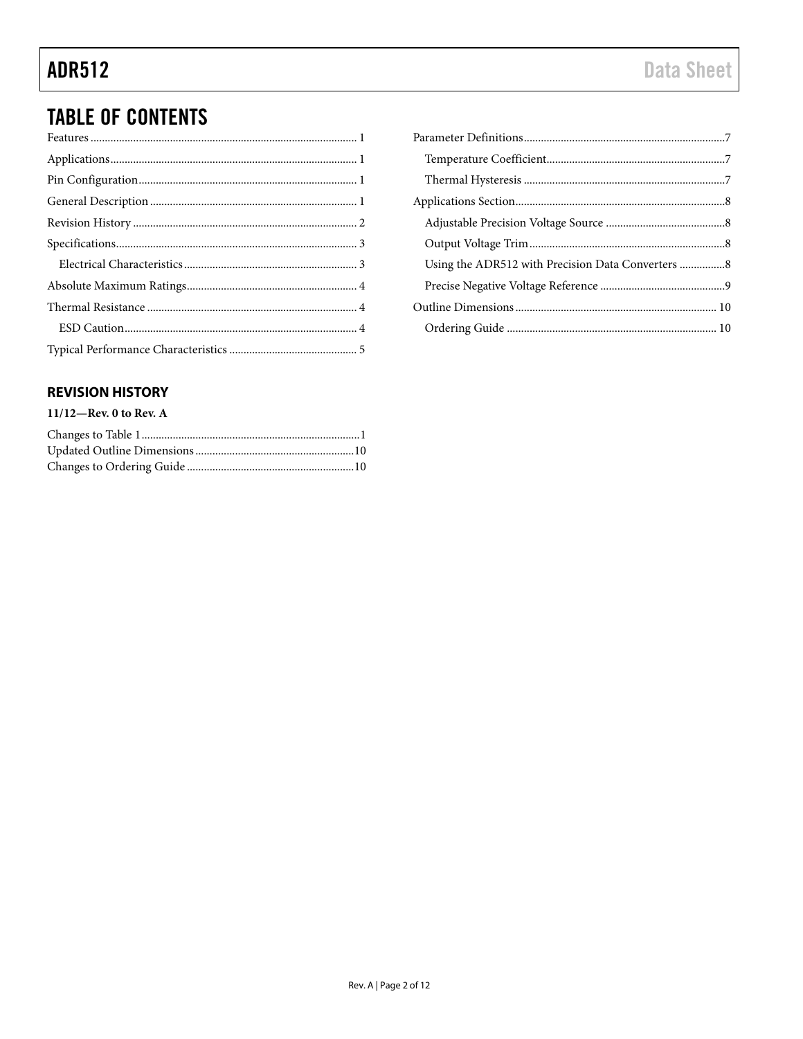## **TABLE OF CONTENTS**

## <span id="page-1-0"></span>**REVISION HISTORY**

### $11/12$ –Rev. 0 to Rev. A

| Using the ADR512 with Precision Data Converters 8 |  |
|---------------------------------------------------|--|
|                                                   |  |
|                                                   |  |
|                                                   |  |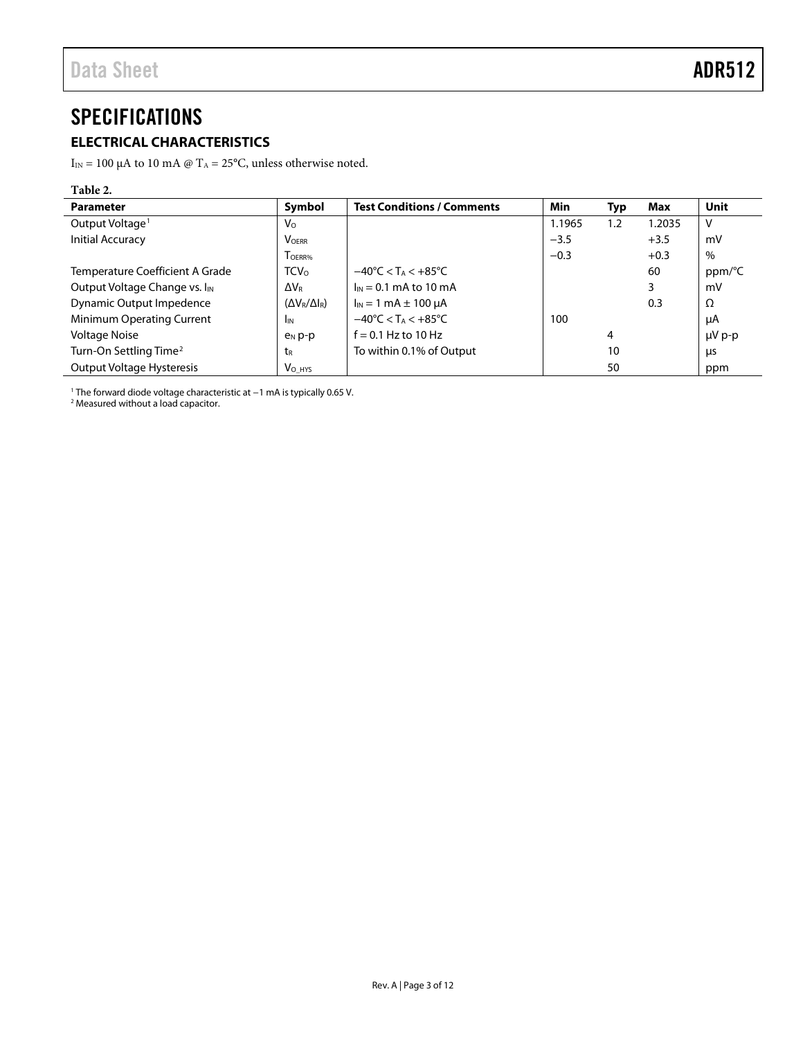## <span id="page-2-0"></span>**SPECIFICATIONS**

## <span id="page-2-1"></span>**ELECTRICAL CHARACTERISTICS**

 $I_{\rm IN}$  = 100  $\upmu\text{A}$  to 10 mA @ T $_{\rm A}$  = 25°C, unless otherwise noted.

## **Table 2.**

| <b>Parameter</b>                          | Symbol                    | <b>Test Conditions / Comments</b>                  | Min    | Typ | Max    | <b>Unit</b> |
|-------------------------------------------|---------------------------|----------------------------------------------------|--------|-----|--------|-------------|
| Output Voltage <sup>1</sup>               | $V_{\Omega}$              |                                                    | 1.1965 | 1.2 | 1.2035 | ۷           |
| <b>Initial Accuracy</b>                   | <b>VOERR</b>              |                                                    | $-3.5$ |     | $+3.5$ | mV          |
|                                           | T <sub>OERR%</sub>        |                                                    | $-0.3$ |     | $+0.3$ | $\%$        |
| Temperature Coefficient A Grade           | <b>TCV</b> <sub>0</sub>   | $-40^{\circ}$ C < T <sub>A</sub> < $+85^{\circ}$ C |        |     | 60     | ppm/°C      |
| Output Voltage Change vs. I <sub>IN</sub> | $\Delta V_{\rm R}$        | $I_{IN}$ = 0.1 mA to 10 mA                         |        |     |        | mV          |
| Dynamic Output Impedence                  | $(\Delta V_R/\Delta I_R)$ | $I_{IN}$ = 1 mA $\pm$ 100 $\mu$ A                  |        |     | 0.3    | Ω           |
| Minimum Operating Current                 | <b>I</b> IN               | $-40^{\circ}$ C < T <sub>A</sub> < $+85^{\circ}$ C | 100    |     |        | μA          |
| <b>Voltage Noise</b>                      | $PN$ p-p                  | $f = 0.1$ Hz to 10 Hz                              |        | 4   |        | $\mu V$ p-p |
| Turn-On Settling Time <sup>2</sup>        | t <sub>R</sub>            | To within 0.1% of Output                           |        | 10  |        | μs          |
| <b>Output Voltage Hysteresis</b>          | V <sub>O</sub> HYS        |                                                    |        | 50  |        | ppm         |

<sup>1</sup> The forward diode voltage characteristic at −1 mA is typically 0.65 V.

<sup>2</sup> Measured without a load capacitor.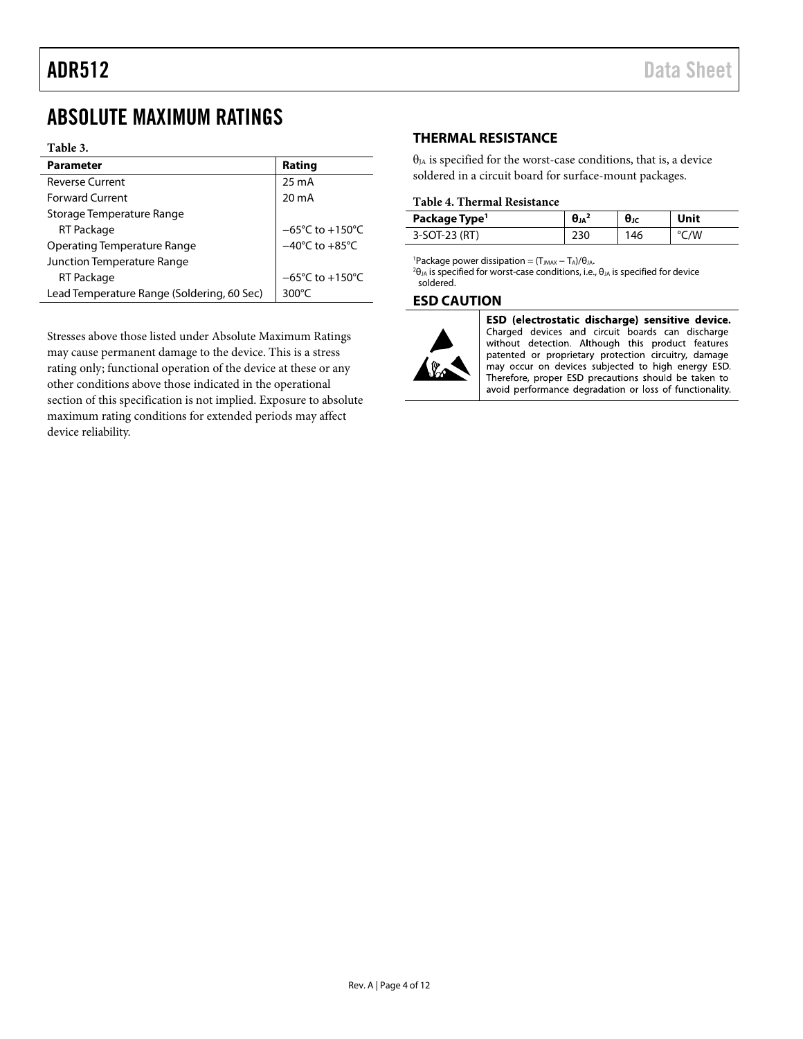## <span id="page-3-0"></span>ABSOLUTE MAXIMUM RATINGS

### **Table 3.**

| <b>Parameter</b>                           | Rating                               |  |  |
|--------------------------------------------|--------------------------------------|--|--|
| <b>Reverse Current</b>                     | $25 \text{ mA}$                      |  |  |
| <b>Forward Current</b>                     | $20 \text{ mA}$                      |  |  |
| Storage Temperature Range                  |                                      |  |  |
| RT Package                                 | $-65^{\circ}$ C to +150 $^{\circ}$ C |  |  |
| <b>Operating Temperature Range</b>         | $-40^{\circ}$ C to $+85^{\circ}$ C   |  |  |
| Junction Temperature Range                 |                                      |  |  |
| <b>RT Package</b>                          | $-65^{\circ}$ C to $+150^{\circ}$ C  |  |  |
| Lead Temperature Range (Soldering, 60 Sec) | 300 $\degree$ C                      |  |  |

<span id="page-3-4"></span><span id="page-3-3"></span>Stresses above those listed under Absolute Maximum Ratings may cause permanent damage to the device. This is a stress rating only; functional operation of the device at these or any other conditions above those indicated in the operational section of this specification is not implied. Exposure to absolute maximum rating conditions for extended periods may affect device reliability.

## <span id="page-3-1"></span>**THERMAL RESISTANCE**

 $\theta_{JA}$  is specified for the worst-case conditions, that is, a device soldered in a circuit board for surface-mount packages.

### **Table 4. Thermal Resistance**

| Package Type <sup>1</sup> | Λ   | UJC |    |
|---------------------------|-----|-----|----|
| 3-SOT-23 (RT)             | 230 | 46  | 'W |

<sup>1</sup>Package power dissipation = (T<sub>JMAX</sub> - T<sub>A</sub>)/θ<sub>JA</sub>.

<sup>2</sup>θ<sub>JA</sub> is specified for worst-case conditions, i.e., θ<sub>JA</sub> is specified for device soldered.

### <span id="page-3-2"></span>**ESD CAUTION**



ESD (electrostatic discharge) sensitive device. Charged devices and circuit boards can discharge without detection. Although this product features patented or proprietary protection circuitry, damage may occur on devices subjected to high energy ESD. Therefore, proper ESD precautions should be taken to avoid performance degradation or loss of functionality.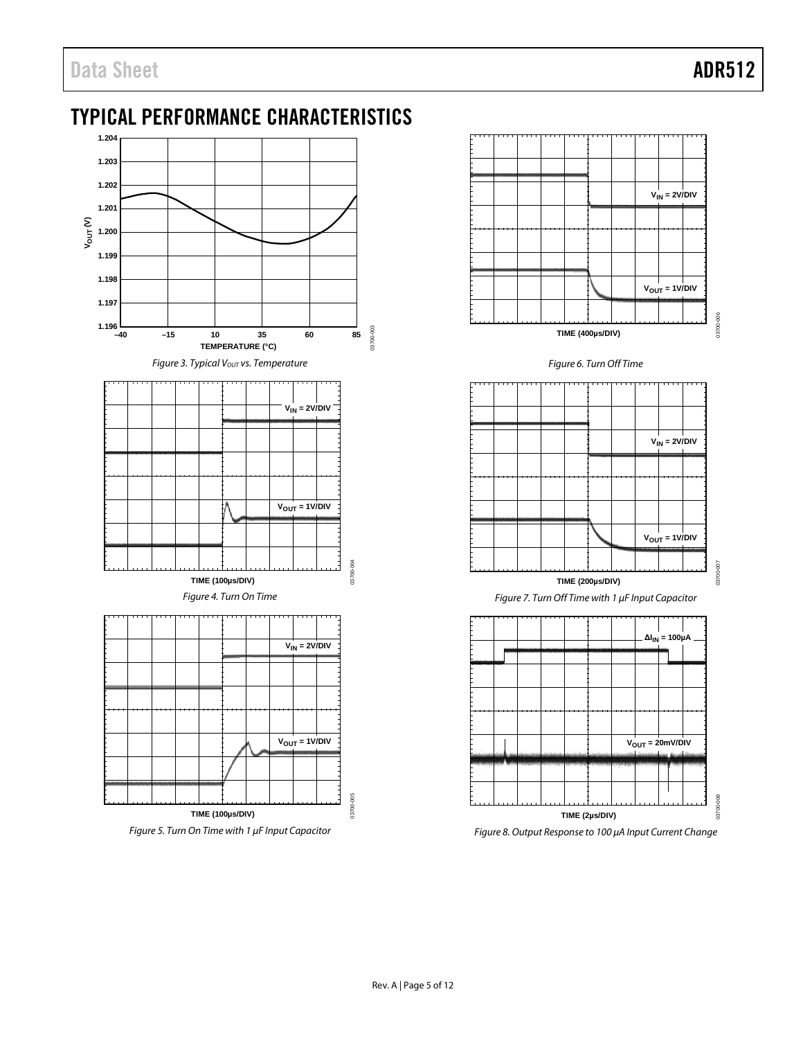<span id="page-4-0"></span>

### *Figure 5. Turn On Time with 1 μF Input Capacitor*

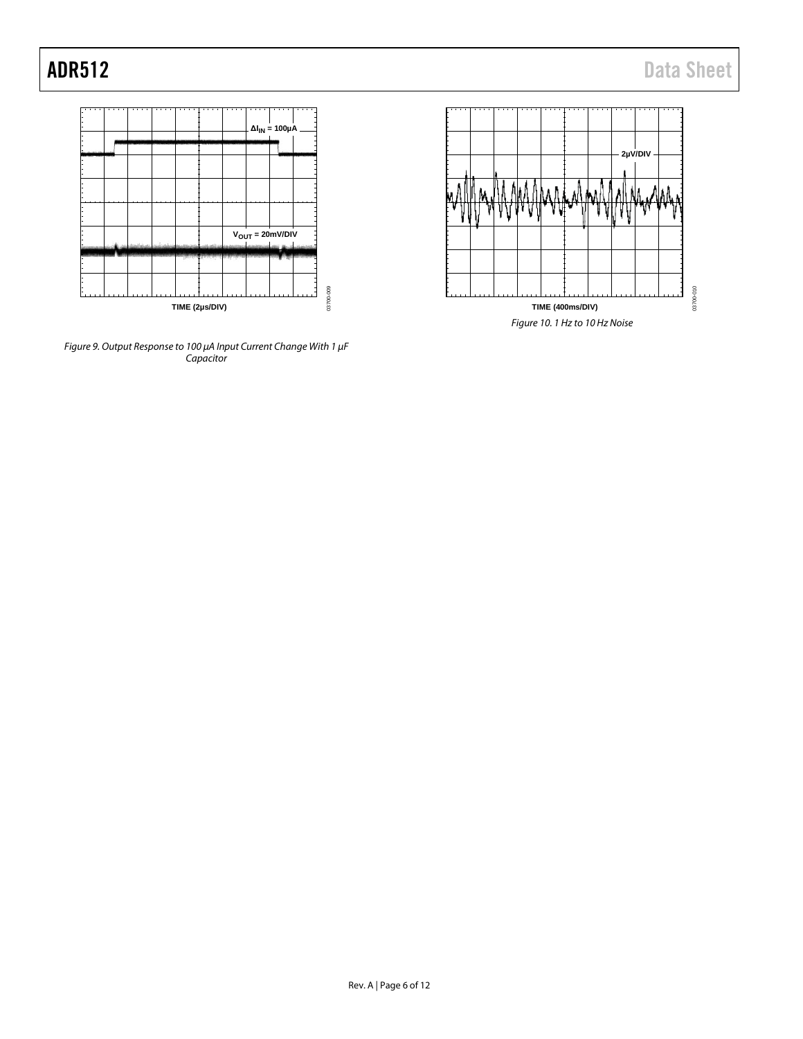



*Figure 9. Output Response to 100 μA Input Current Change With 1 μF Capacitor*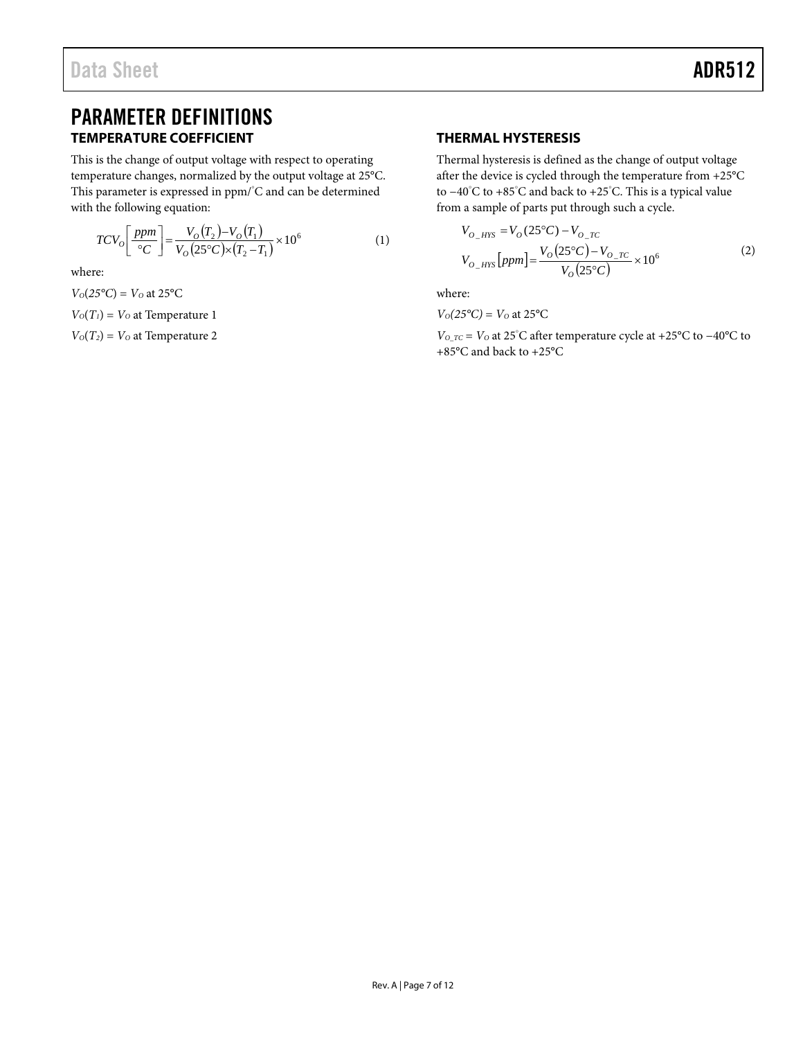## <span id="page-6-1"></span><span id="page-6-0"></span>PARAMETER DEFINITIONS **TEMPERATURE COEFFICIENT**

This is the change of output voltage with respect to operating temperature changes, normalized by the output voltage at 25°C. This parameter is expressed in ppm/°C and can be determined with the following equation:

$$
TCV_0 \left[ \frac{ppm}{\circ C} \right] = \frac{V_0 (T_2) - V_0 (T_1)}{V_0 (25^\circ C) \times (T_2 - T_1)} \times 10^6 \tag{1}
$$

where:

 $V_0(25^{\circ}C) = V_0$  at 25 $^{\circ}C$  $V<sub>O</sub>(T<sub>I</sub>) = V<sub>O</sub>$  at Temperature 1

 $V<sub>O</sub>(T<sub>2</sub>) = V<sub>O</sub>$  at Temperature 2

## <span id="page-6-2"></span>**THERMAL HYSTERESIS**

Thermal hysteresis is defined as the change of output voltage after the device is cycled through the temperature from +25°C to −40°C to +85°C and back to +25°C. This is a typical value from a sample of parts put through such a cycle.

$$
V_{O_{\text{HYS}}} = V_O (25^{\circ}C) - V_{O_{\text{TC}}}
$$
  
\n
$$
V_{O_{\text{HYS}}}[ppm] = \frac{V_O (25^{\circ}C) - V_{O_{\text{TC}}}}{V_O (25^{\circ}C)} \times 10^6
$$
 (2)

where:

 $V_0(25^{\circ}\text{C}) = V_0$  at 25<sup>o</sup>C

*VO\_TC* = *VO* at 25°C after temperature cycle at +25°C to −40°C to +85°C and back to +25°C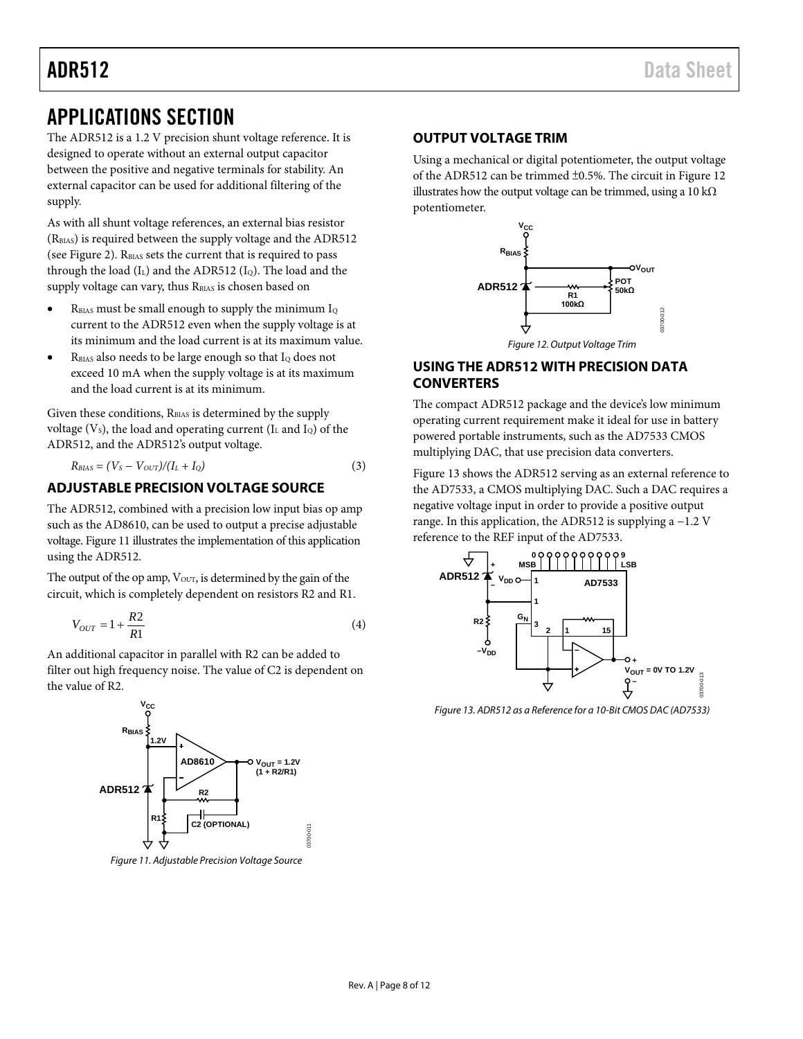## <span id="page-7-0"></span>APPLICATIONS SECTION

The ADR512 is a 1.2 V precision shunt voltage reference. It is designed to operate without an external output capacitor between the positive and negative terminals for stability. An external capacitor can be used for additional filtering of the supply.

As with all shunt voltage references, an external bias resistor (RBIAS) is required between the supply voltage and the ADR512 (see [Figure 2\)](#page-0-4).  $R<sub>BIAS</sub>$  sets the current that is required to pass through the load  $(I_L)$  and the ADR512  $(I_Q)$ . The load and the supply voltage can vary, thus RBIAS is chosen based on

- RBIAS must be small enough to supply the minimum  $I_Q$ current to the ADR512 even when the supply voltage is at its minimum and the load current is at its maximum value.
- RBIAS also needs to be large enough so that IQ does not exceed 10 mA when the supply voltage is at its maximum and the load current is at its minimum.

Given these conditions, R<sub>BIAS</sub> is determined by the supply voltage  $(V<sub>s</sub>)$ , the load and operating current  $(I<sub>L</sub>$  and  $I<sub>Q</sub>)$  of the ADR512, and the ADR512's output voltage.

$$
R_{BIAS} = (V_S - V_{OUT})/(I_L + I_Q) \tag{3}
$$

## <span id="page-7-1"></span>**ADJUSTABLE PRECISION VOLTAGE SOURCE**

The ADR512, combined with a precision low input bias op amp such as the AD8610, can be used to output a precise adjustable voltage[. Figure 11](#page-7-4) illustrates the implementation of this application using the ADR512.

The output of the op amp,  $V_{\text{OUT}}$ , is determined by the gain of the circuit, which is completely dependent on resistors R2 and R1.

$$
V_{OUT} = 1 + \frac{R2}{R1}
$$
\n<sup>(4)</sup>

An additional capacitor in parallel with R2 can be added to filter out high frequency noise. The value of C2 is dependent on the value of R2.



<span id="page-7-4"></span><span id="page-7-2"></span>*Figure 11. Adjustable Precision Voltage Source*

## **OUTPUT VOLTAGE TRIM**

Using a mechanical or digital potentiometer, the output voltage of the ADR512 can be trimmed ±0.5%. The circuit i[n Figure 12](#page-7-5) illustrates how the output voltage can be trimmed, using a 10 k $\Omega$ potentiometer.



## <span id="page-7-5"></span><span id="page-7-3"></span>**USING THE ADR512 WITH PRECISION DATA CONVERTERS**

The compact ADR512 package and the device's low minimum operating current requirement make it ideal for use in battery powered portable instruments, such as the AD7533 CMOS multiplying DAC, that use precision data converters.

[Figure 13](#page-7-6) shows the ADR512 serving as an external reference to the AD7533, a CMOS multiplying DAC. Such a DAC requires a negative voltage input in order to provide a positive output range. In this application, the ADR512 is supplying a −1.2 V reference to the REF input of the AD7533.



<span id="page-7-6"></span>*Figure 13. ADR512 as a Reference for a 10-Bit CMOS DAC (AD7533)*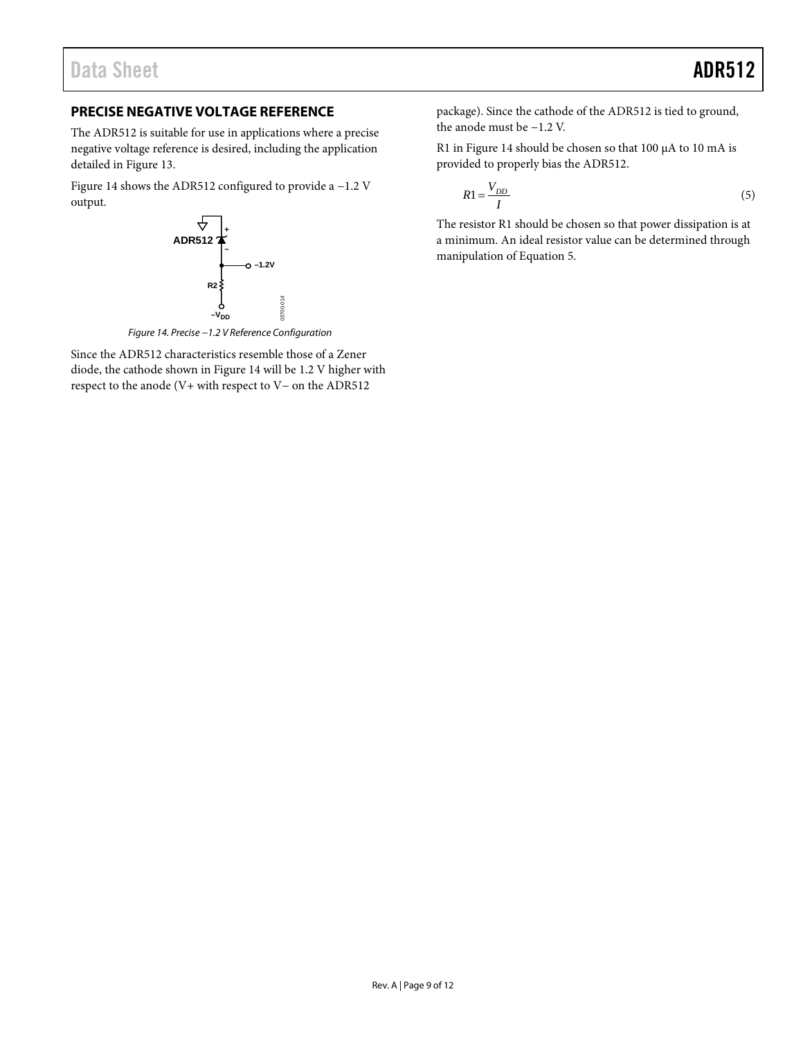## <span id="page-8-0"></span>**PRECISE NEGATIVE VOLTAGE REFERENCE**

The ADR512 is suitable for use in applications where a precise negative voltage reference is desired, including the application detailed in [Figure 13.](#page-7-6)

[Figure 14](#page-8-1) shows the ADR512 configured to provide a −1.2 V output.



*Figure 14. Precise −1.2 V Reference Configuration*

<span id="page-8-1"></span>Since the ADR512 characteristics resemble those of a Zener diode, the cathode shown in [Figure 14](#page-8-1) will be 1.2 V higher with respect to the anode (V+ with respect to V− on the ADR512

package). Since the cathode of the ADR512 is tied to ground, the anode must be −1.2 V.

R1 i[n Figure 14](#page-8-1) should be chosen so that 100 μA to 10 mA is provided to properly bias the ADR512.

$$
R1 = \frac{V_{DD}}{I} \tag{5}
$$

The resistor R1 should be chosen so that power dissipation is at a minimum. An ideal resistor value can be determined through manipulation of Equation 5.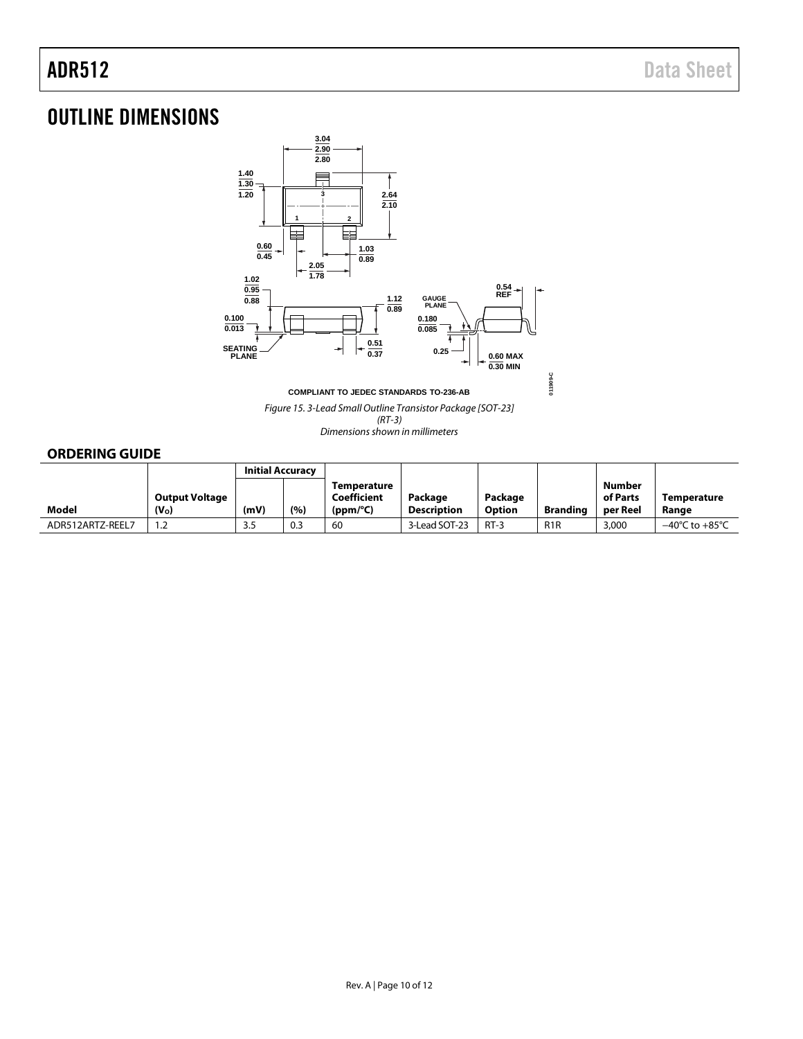## <span id="page-9-0"></span>OUTLINE DIMENSIONS



**COMPLIANT TO JEDEC STANDARDS TO-236-AB**

*Figure 15. 3-Lead Small Outline Transistor Package [SOT-23]*

*(RT-3) Dimensions shown in millimeters*

## <span id="page-9-1"></span>**ORDERING GUIDE**

|                  |                       | <b>Initial Accuracy</b> |     |                            |                    |         |                  |                           |                                    |
|------------------|-----------------------|-------------------------|-----|----------------------------|--------------------|---------|------------------|---------------------------|------------------------------------|
|                  | <b>Output Voltage</b> |                         |     | Temperature<br>Coefficient | Package            | Package |                  | <b>Number</b><br>of Parts | Temperature                        |
| Model            | (V <sub>o</sub> )     | (mV)                    | (%) | (ppm/°C)                   | <b>Description</b> | Option  | <b>Branding</b>  | per Reel                  | Range                              |
| ADR512ARTZ-REEL7 | ے.                    | 3.5                     | 0.3 | 60                         | 3-Lead SOT-23      | $RT-3$  | R <sub>1</sub> R | 3,000                     | $-40^{\circ}$ C to $+85^{\circ}$ C |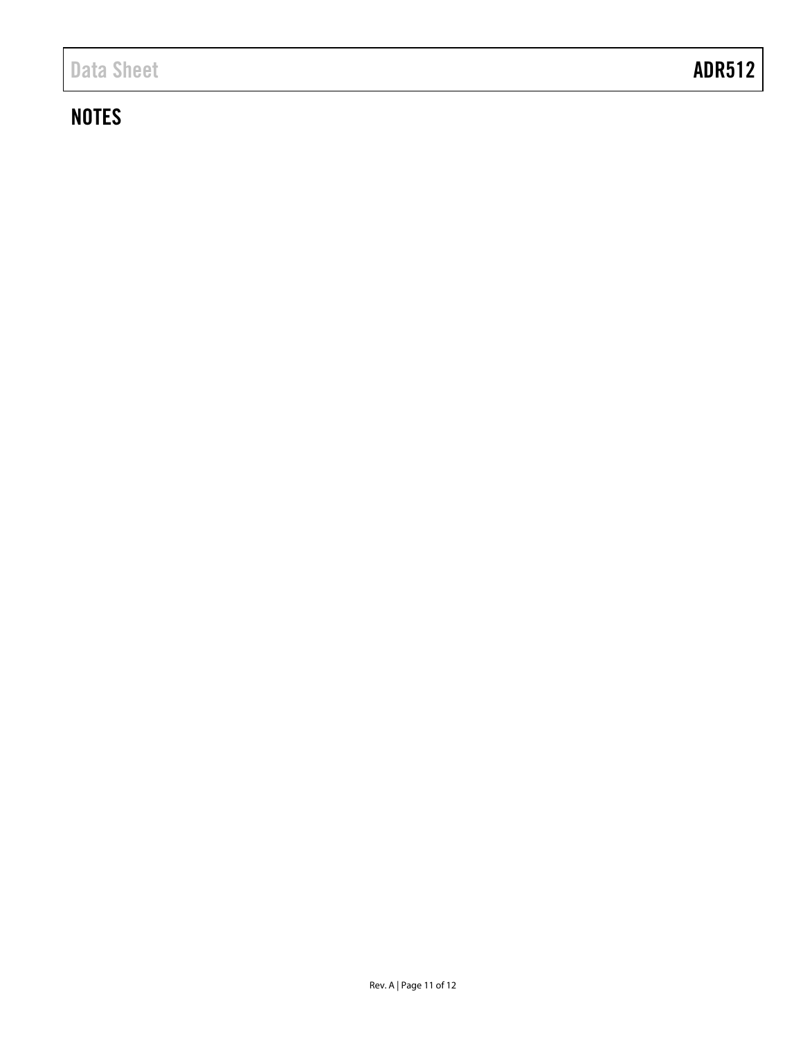## **NOTES**